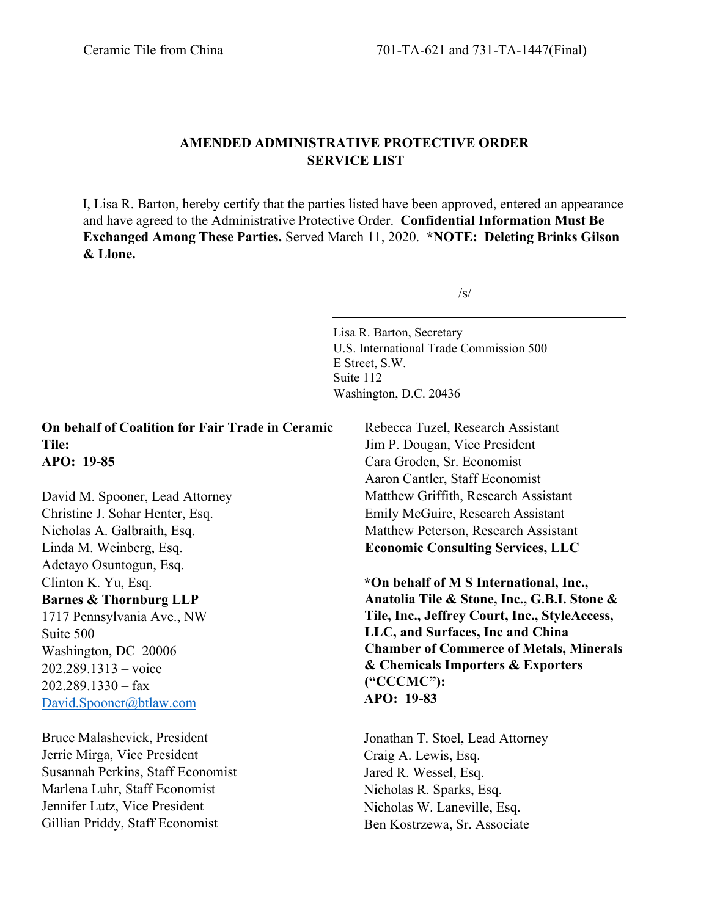Gillian Priddy, Staff Economist

## **AMENDED ADMINISTRATIVE PROTECTIVE ORDER SERVICE LIST**

I, Lisa R. Barton, hereby certify that the parties listed have been approved, entered an appearance and have agreed to the Administrative Protective Order. **Confidential Information Must Be Exchanged Among These Parties.** Served March 11, 2020. **\*NOTE: Deleting Brinks Gilson & Llone.**

 $/s/$ 

Lisa R. Barton, Secretary U.S. International Trade Commission 500 E Street, S.W. Suite 112 Washington, D.C. 20436

Ben Kostrzewa, Sr. Associate

**On behalf of Coalition for Fair Trade in Ceramic Tile: APO: 19-85** David M. Spooner, Lead Attorney Christine J. Sohar Henter, Esq. Nicholas A. Galbraith, Esq. Linda M. Weinberg, Esq. Adetayo Osuntogun, Esq. Clinton K. Yu, Esq. **Barnes & Thornburg LLP** 1717 Pennsylvania Ave., NW Suite 500 Washington, DC 20006 202.289.1313 – voice 202.289.1330 – fax [David.Spooner@btlaw.com](mailto:David.Spooner@btlaw.com) Bruce Malashevick, President Jerrie Mirga, Vice President Susannah Perkins, Staff Economist Marlena Luhr, Staff Economist Jennifer Lutz, Vice President Rebecca Tuzel, Research Assistant Jim P. Dougan, Vice President Cara Groden, Sr. Economist Aaron Cantler, Staff Economist Matthew Griffith, Research Assistant Emily McGuire, Research Assistant Matthew Peterson, Research Assistant **Economic Consulting Services, LLC \*On behalf of M S International, Inc., Anatolia Tile & Stone, Inc., G.B.I. Stone & Tile, Inc., Jeffrey Court, Inc., StyleAccess, LLC, and Surfaces, Inc and China Chamber of Commerce of Metals, Minerals & Chemicals Importers & Exporters ("CCCMC"): APO: 19-83**  Jonathan T. Stoel, Lead Attorney Craig A. Lewis, Esq. Jared R. Wessel, Esq. Nicholas R. Sparks, Esq. Nicholas W. Laneville, Esq.